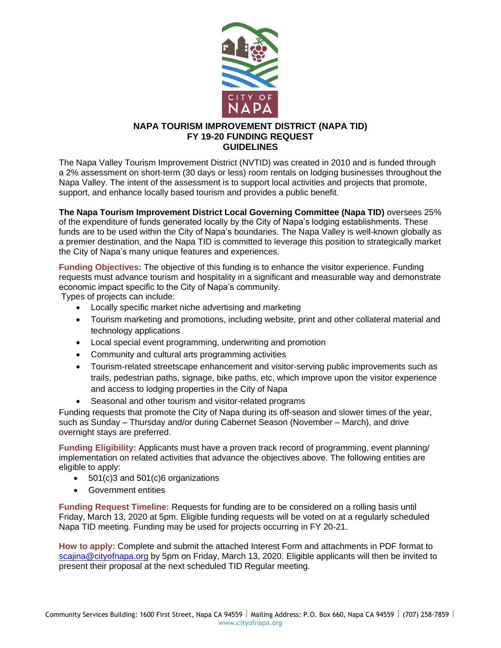

### **NAPA TOURISM IMPROVEMENT DISTRICT (NAPA TID) FY 19-20 FUNDING REQUEST GUIDELINES**

The Napa Valley Tourism Improvement District (NVTID) was created in 2010 and is funded through a 2% assessment on short-term (30 days or less) room rentals on lodging businesses throughout the Napa Valley. The intent of the assessment is to support local activities and projects that promote, support, and enhance locally based tourism and provides a public benefit.

**The Napa Tourism Improvement District Local Governing Committee (Napa TID)** oversees 25% of the expenditure of funds generated locally by the City of Napa's lodging establishments. These funds are to be used within the City of Napa's boundaries. The Napa Valley is well-known globally as a premier destination, and the Napa TID is committed to leverage this position to strategically market the City of Napa's many unique features and experiences.

**Funding Objectives:** The objective of this funding is to enhance the visitor experience. Funding requests must advance tourism and hospitality in a significant and measurable way and demonstrate economic impact specific to the City of Napa's community.

Types of projects can include:

- Locally specific market niche advertising and marketing
- Tourism marketing and promotions, including website, print and other collateral material and technology applications
- Local special event programming, underwriting and promotion
- Community and cultural arts programming activities
- Tourism-related streetscape enhancement and visitor-serving public improvements such as trails, pedestrian paths, signage, bike paths, etc, which improve upon the visitor experience and access to lodging properties in the City of Napa
- Seasonal and other tourism and visitor-related programs

Funding requests that promote the City of Napa during its off-season and slower times of the year, such as Sunday – Thursday and/or during Cabernet Season (November – March), and drive overnight stays are preferred.

**Funding Eligibility:** Applicants must have a proven track record of programming, event planning/ implementation on related activities that advance the objectives above. The following entities are eligible to apply:

- 501(c)3 and 501(c)6 organizations
- Government entities

**Funding Request Timeline:** Requests for funding are to be considered on a rolling basis until Friday, March 13, 2020 at 5pm. Eligible funding requests will be voted on at a regularly scheduled Napa TID meeting. Funding may be used for projects occurring in FY 20-21.

**How to apply:** Complete and submit the attached Interest Form and attachments in PDF format to [scajina@cityofnapa.org](mailto:scajina@cityofnapa.org) by 5pm on Friday, March 13, 2020. Eligible applicants will then be invited to present their proposal at the next scheduled TID Regular meeting.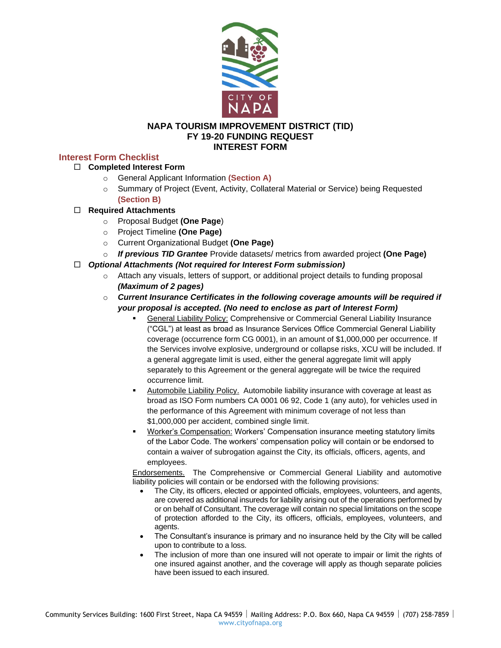

#### **NAPA TOURISM IMPROVEMENT DISTRICT (TID) FY 19-20 FUNDING REQUEST INTEREST FORM**

### **Interest Form Checklist**

- **Completed Interest Form**
	- o General Applicant Information **(Section A)**
	- o Summary of Project (Event, Activity, Collateral Material or Service) being Requested **(Section B)**

#### **Required Attachments**

- o Proposal Budget **(One Page**)
- o Project Timeline **(One Page)**
- o Current Organizational Budget **(One Page)**
- o *If previous TID Grantee* Provide datasets/ metrics from awarded project **(One Page)**
- *Optional Attachments (Not required for Interest Form submission)*
	- $\circ$  Attach any visuals, letters of support, or additional project details to funding proposal *(Maximum of 2 pages)*
	- o *Current Insurance Certificates in the following coverage amounts will be required if your proposal is accepted. (No need to enclose as part of Interest Form)*
		- General Liability Policy: Comprehensive or Commercial General Liability Insurance ("CGL") at least as broad as Insurance Services Office Commercial General Liability coverage (occurrence form CG 0001), in an amount of \$1,000,000 per occurrence. If the Services involve explosive, underground or collapse risks, XCU will be included. If a general aggregate limit is used, either the general aggregate limit will apply separately to this Agreement or the general aggregate will be twice the required occurrence limit.
		- Automobile Liability Policy. Automobile liability insurance with coverage at least as broad as ISO Form numbers CA 0001 06 92, Code 1 (any auto), for vehicles used in the performance of this Agreement with minimum coverage of not less than \$1,000,000 per accident, combined single limit.
		- Worker's Compensation: Workers' Compensation insurance meeting statutory limits of the Labor Code. The workers' compensation policy will contain or be endorsed to contain a waiver of subrogation against the City, its officials, officers, agents, and employees.

Endorsements. The Comprehensive or Commercial General Liability and automotive liability policies will contain or be endorsed with the following provisions:

- The City, its officers, elected or appointed officials, employees, volunteers, and agents, are covered as additional insureds for liability arising out of the operations performed by or on behalf of Consultant. The coverage will contain no special limitations on the scope of protection afforded to the City, its officers, officials, employees, volunteers, and agents.
- The Consultant's insurance is primary and no insurance held by the City will be called upon to contribute to a loss.
- The inclusion of more than one insured will not operate to impair or limit the rights of one insured against another, and the coverage will apply as though separate policies have been issued to each insured.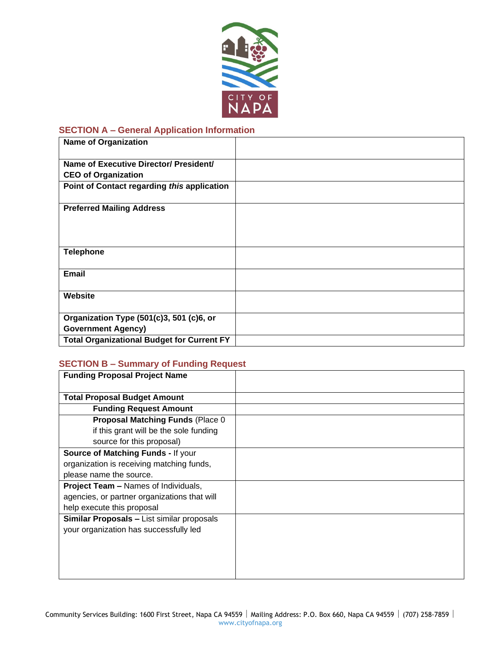

# **SECTION A – General Application Information**

| <b>Name of Organization</b>                       |  |
|---------------------------------------------------|--|
| Name of Executive Director/ President/            |  |
| <b>CEO of Organization</b>                        |  |
| Point of Contact regarding this application       |  |
| <b>Preferred Mailing Address</b>                  |  |
| <b>Telephone</b>                                  |  |
| <b>Email</b>                                      |  |
| Website                                           |  |
| Organization Type (501(c)3, 501 (c)6, or          |  |
| <b>Government Agency)</b>                         |  |
| <b>Total Organizational Budget for Current FY</b> |  |

## **SECTION B – Summary of Funding Request**

| <b>Funding Proposal Project Name</b>         |  |
|----------------------------------------------|--|
| <b>Total Proposal Budget Amount</b>          |  |
| <b>Funding Request Amount</b>                |  |
| <b>Proposal Matching Funds (Place 0)</b>     |  |
| if this grant will be the sole funding       |  |
| source for this proposal)                    |  |
| Source of Matching Funds - If your           |  |
| organization is receiving matching funds,    |  |
| please name the source.                      |  |
| <b>Project Team - Names of Individuals,</b>  |  |
| agencies, or partner organizations that will |  |
| help execute this proposal                   |  |
| Similar Proposals - List similar proposals   |  |
| your organization has successfully led       |  |
|                                              |  |
|                                              |  |
|                                              |  |
|                                              |  |